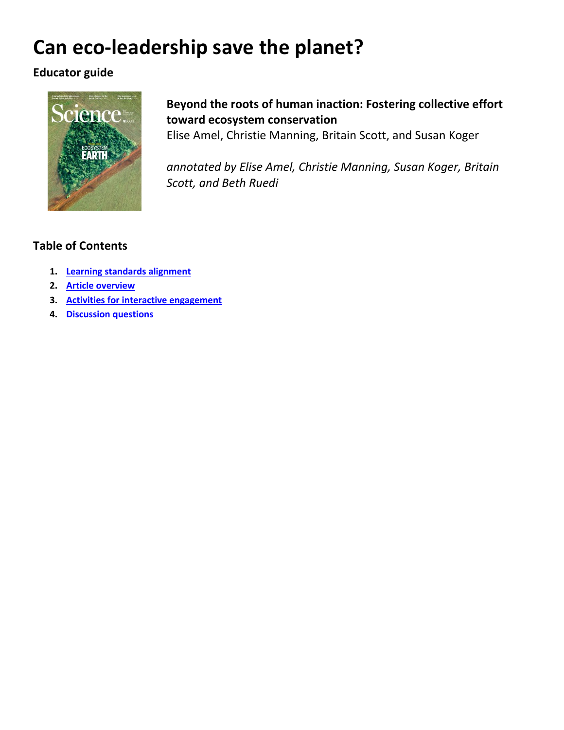# **Can eco-leadership save the planet?**

### **Educator guide**



## **Beyond the roots of human inaction: Fostering collective effort toward ecosystem conservation**

Elise Amel, Christie Manning, Britain Scott, and Susan Koger

*annotated by Elise Amel, Christie Manning, Susan Koger, Britain Scott, and Beth Ruedi*

### **Table of Contents**

- **1. [Learning standards alignment](#page-1-0)**
- **2. [Article overview](#page-3-0)**
- **3. [Activities for interactive engagement](#page-5-0)**
- **4. [Discussion questions](#page-6-0)**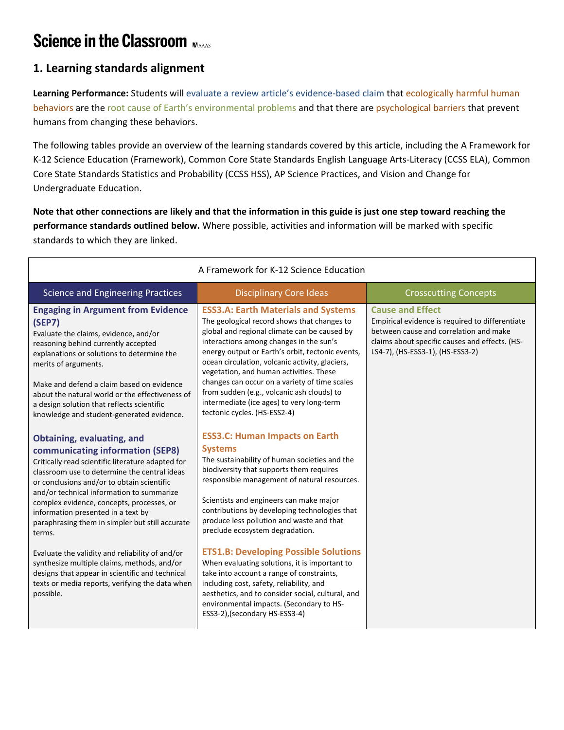## **Science in the Classroom MAAAS**

### <span id="page-1-0"></span>**1. Learning standards alignment**

**Learning Performance:** Students will evaluate a review article's evidence-based claim that ecologically harmful human behaviors are the root cause of Earth's environmental problems and that there are psychological barriers that prevent humans from changing these behaviors.

The following tables provide an overview of the learning standards covered by this article, including the A Framework for K-12 Science Education (Framework), Common Core State Standards English Language Arts-Literacy (CCSS ELA), Common Core State Standards Statistics and Probability (CCSS HSS), AP Science Practices, and Vision and Change for Undergraduate Education.

**Note that other connections are likely and that the information in this guide is just one step toward reaching the performance standards outlined below.** Where possible, activities and information will be marked with specific standards to which they are linked.

| A Framework for K-12 Science Education                                                                                                                                                                                                                                                                                                                                                                         |                                                                                                                                                                                                                                                                                                                                                                                  |                                                                                                                                                                                                            |  |  |  |
|----------------------------------------------------------------------------------------------------------------------------------------------------------------------------------------------------------------------------------------------------------------------------------------------------------------------------------------------------------------------------------------------------------------|----------------------------------------------------------------------------------------------------------------------------------------------------------------------------------------------------------------------------------------------------------------------------------------------------------------------------------------------------------------------------------|------------------------------------------------------------------------------------------------------------------------------------------------------------------------------------------------------------|--|--|--|
| <b>Science and Engineering Practices</b>                                                                                                                                                                                                                                                                                                                                                                       | <b>Disciplinary Core Ideas</b>                                                                                                                                                                                                                                                                                                                                                   | <b>Crosscutting Concepts</b>                                                                                                                                                                               |  |  |  |
| <b>Engaging in Argument from Evidence</b><br>(SEP7)<br>Evaluate the claims, evidence, and/or<br>reasoning behind currently accepted<br>explanations or solutions to determine the<br>merits of arguments.                                                                                                                                                                                                      | <b>ESS3.A: Earth Materials and Systems</b><br>The geological record shows that changes to<br>global and regional climate can be caused by<br>interactions among changes in the sun's<br>energy output or Earth's orbit, tectonic events,<br>ocean circulation, volcanic activity, glaciers,<br>vegetation, and human activities. These                                           | <b>Cause and Effect</b><br>Empirical evidence is required to differentiate<br>between cause and correlation and make<br>claims about specific causes and effects. (HS-<br>LS4-7), (HS-ESS3-1), (HS-ESS3-2) |  |  |  |
| Make and defend a claim based on evidence<br>about the natural world or the effectiveness of<br>a design solution that reflects scientific<br>knowledge and student-generated evidence.                                                                                                                                                                                                                        | changes can occur on a variety of time scales<br>from sudden (e.g., volcanic ash clouds) to<br>intermediate (ice ages) to very long-term<br>tectonic cycles. (HS-ESS2-4)                                                                                                                                                                                                         |                                                                                                                                                                                                            |  |  |  |
| Obtaining, evaluating, and<br>communicating information (SEP8)<br>Critically read scientific literature adapted for<br>classroom use to determine the central ideas<br>or conclusions and/or to obtain scientific<br>and/or technical information to summarize<br>complex evidence, concepts, processes, or<br>information presented in a text by<br>paraphrasing them in simpler but still accurate<br>terms. | <b>ESS3.C: Human Impacts on Earth</b><br><b>Systems</b><br>The sustainability of human societies and the<br>biodiversity that supports them requires<br>responsible management of natural resources.<br>Scientists and engineers can make major<br>contributions by developing technologies that<br>produce less pollution and waste and that<br>preclude ecosystem degradation. |                                                                                                                                                                                                            |  |  |  |
| Evaluate the validity and reliability of and/or<br>synthesize multiple claims, methods, and/or<br>designs that appear in scientific and technical<br>texts or media reports, verifying the data when<br>possible.                                                                                                                                                                                              | <b>ETS1.B: Developing Possible Solutions</b><br>When evaluating solutions, it is important to<br>take into account a range of constraints,<br>including cost, safety, reliability, and<br>aesthetics, and to consider social, cultural, and<br>environmental impacts. (Secondary to HS-<br>ESS3-2), (secondary HS-ESS3-4)                                                        |                                                                                                                                                                                                            |  |  |  |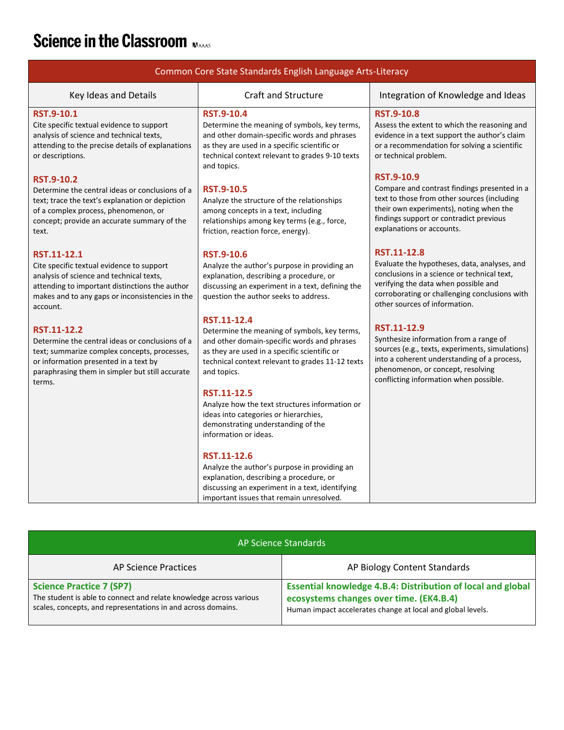# Science in the Classroom

| Common Core State Standards English Language Arts-Literacy                                                                                                                                                              |                                                                                                                                                                                                                                    |                                                                                                                                                                                                                                        |  |  |  |
|-------------------------------------------------------------------------------------------------------------------------------------------------------------------------------------------------------------------------|------------------------------------------------------------------------------------------------------------------------------------------------------------------------------------------------------------------------------------|----------------------------------------------------------------------------------------------------------------------------------------------------------------------------------------------------------------------------------------|--|--|--|
| Key Ideas and Details                                                                                                                                                                                                   | <b>Craft and Structure</b>                                                                                                                                                                                                         | Integration of Knowledge and Ideas                                                                                                                                                                                                     |  |  |  |
| <b>RST.9-10.1</b><br>Cite specific textual evidence to support<br>analysis of science and technical texts,<br>attending to the precise details of explanations<br>or descriptions.                                      | <b>RST.9-10.4</b><br>Determine the meaning of symbols, key terms,<br>and other domain-specific words and phrases<br>as they are used in a specific scientific or<br>technical context relevant to grades 9-10 texts<br>and topics. | <b>RST.9-10.8</b><br>Assess the extent to which the reasoning and<br>evidence in a text support the author's claim<br>or a recommendation for solving a scientific<br>or technical problem.                                            |  |  |  |
| <b>RST.9-10.2</b><br>Determine the central ideas or conclusions of a<br>text; trace the text's explanation or depiction<br>of a complex process, phenomenon, or<br>concept; provide an accurate summary of the<br>text. | <b>RST.9-10.5</b><br>Analyze the structure of the relationships<br>among concepts in a text, including<br>relationships among key terms (e.g., force,<br>friction, reaction force, energy).                                        | <b>RST.9-10.9</b><br>Compare and contrast findings presented in a<br>text to those from other sources (including<br>their own experiments), noting when the<br>findings support or contradict previous<br>explanations or accounts.    |  |  |  |
| RST.11-12.1<br>Cite specific textual evidence to support<br>analysis of science and technical texts,<br>attending to important distinctions the author<br>makes and to any gaps or inconsistencies in the<br>account.   | <b>RST.9-10.6</b><br>Analyze the author's purpose in providing an<br>explanation, describing a procedure, or<br>discussing an experiment in a text, defining the<br>question the author seeks to address.                          | RST.11-12.8<br>Evaluate the hypotheses, data, analyses, and<br>conclusions in a science or technical text,<br>verifying the data when possible and<br>corroborating or challenging conclusions with<br>other sources of information.   |  |  |  |
| RST.11-12.2<br>Determine the central ideas or conclusions of a<br>text; summarize complex concepts, processes,<br>or information presented in a text by<br>paraphrasing them in simpler but still accurate<br>terms.    | RST.11-12.4<br>Determine the meaning of symbols, key terms,<br>and other domain-specific words and phrases<br>as they are used in a specific scientific or<br>technical context relevant to grades 11-12 texts<br>and topics.      | RST.11-12.9<br>Synthesize information from a range of<br>sources (e.g., texts, experiments, simulations)<br>into a coherent understanding of a process,<br>phenomenon, or concept, resolving<br>conflicting information when possible. |  |  |  |
|                                                                                                                                                                                                                         | RST.11-12.5<br>Analyze how the text structures information or<br>ideas into categories or hierarchies,<br>demonstrating understanding of the<br>information or ideas.                                                              |                                                                                                                                                                                                                                        |  |  |  |
|                                                                                                                                                                                                                         | RST.11-12.6<br>Analyze the author's purpose in providing an<br>explanation, describing a procedure, or<br>discussing an experiment in a text, identifying<br>important issues that remain unresolved.                              |                                                                                                                                                                                                                                        |  |  |  |

| AP Science Standards                                                                                                                                                  |                                                                                                                                                                              |  |  |  |
|-----------------------------------------------------------------------------------------------------------------------------------------------------------------------|------------------------------------------------------------------------------------------------------------------------------------------------------------------------------|--|--|--|
| AP Science Practices                                                                                                                                                  | AP Biology Content Standards                                                                                                                                                 |  |  |  |
| <b>Science Practice 7 (SP7)</b><br>The student is able to connect and relate knowledge across various<br>scales, concepts, and representations in and across domains. | <b>Essential knowledge 4.B.4: Distribution of local and global</b><br>ecosystems changes over time. (EK4.B.4)<br>Human impact accelerates change at local and global levels. |  |  |  |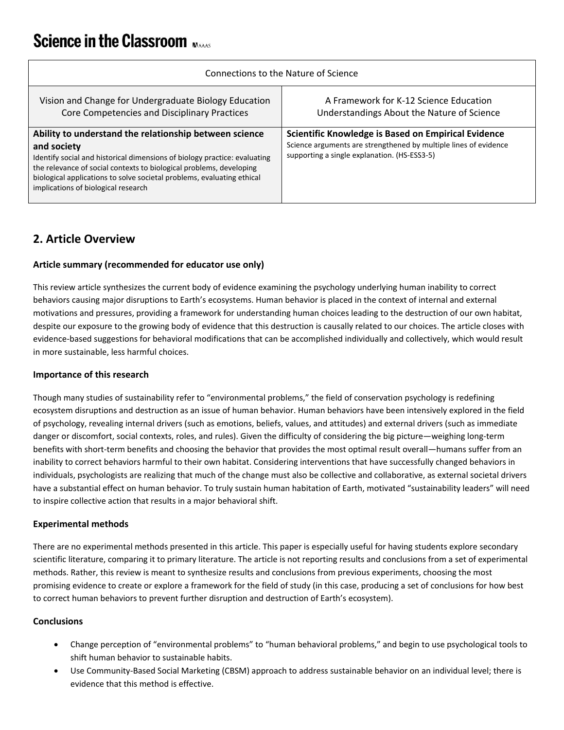## **Science in the Classroom November**

| Connections to the Nature of Science                                                                                                                                                                                                                                                                                                       |                                                                                                                                                                         |  |  |  |
|--------------------------------------------------------------------------------------------------------------------------------------------------------------------------------------------------------------------------------------------------------------------------------------------------------------------------------------------|-------------------------------------------------------------------------------------------------------------------------------------------------------------------------|--|--|--|
| Vision and Change for Undergraduate Biology Education<br>Core Competencies and Disciplinary Practices                                                                                                                                                                                                                                      | A Framework for K-12 Science Education<br>Understandings About the Nature of Science                                                                                    |  |  |  |
| Ability to understand the relationship between science<br>and society<br>Identify social and historical dimensions of biology practice: evaluating<br>the relevance of social contexts to biological problems, developing<br>biological applications to solve societal problems, evaluating ethical<br>implications of biological research | Scientific Knowledge is Based on Empirical Evidence<br>Science arguments are strengthened by multiple lines of evidence<br>supporting a single explanation. (HS-ESS3-5) |  |  |  |

### <span id="page-3-0"></span>**2. Article Overview**

#### **Article summary (recommended for educator use only)**

This review article synthesizes the current body of evidence examining the psychology underlying human inability to correct behaviors causing major disruptions to Earth's ecosystems. Human behavior is placed in the context of internal and external motivations and pressures, providing a framework for understanding human choices leading to the destruction of our own habitat, despite our exposure to the growing body of evidence that this destruction is causally related to our choices. The article closes with evidence-based suggestions for behavioral modifications that can be accomplished individually and collectively, which would result in more sustainable, less harmful choices.

#### **Importance of this research**

Though many studies of sustainability refer to "environmental problems," the field of conservation psychology is redefining ecosystem disruptions and destruction as an issue of human behavior. Human behaviors have been intensively explored in the field of psychology, revealing internal drivers (such as emotions, beliefs, values, and attitudes) and external drivers (such as immediate danger or discomfort, social contexts, roles, and rules). Given the difficulty of considering the big picture—weighing long-term benefits with short-term benefits and choosing the behavior that provides the most optimal result overall—humans suffer from an inability to correct behaviors harmful to their own habitat. Considering interventions that have successfully changed behaviors in individuals, psychologists are realizing that much of the change must also be collective and collaborative, as external societal drivers have a substantial effect on human behavior. To truly sustain human habitation of Earth, motivated "sustainability leaders" will need to inspire collective action that results in a major behavioral shift.

#### **Experimental methods**

There are no experimental methods presented in this article. This paper is especially useful for having students explore secondary scientific literature, comparing it to primary literature. The article is not reporting results and conclusions from a set of experimental methods. Rather, this review is meant to synthesize results and conclusions from previous experiments, choosing the most promising evidence to create or explore a framework for the field of study (in this case, producing a set of conclusions for how best to correct human behaviors to prevent further disruption and destruction of Earth's ecosystem).

#### **Conclusions**

- Change perception of "environmental problems" to "human behavioral problems," and begin to use psychological tools to shift human behavior to sustainable habits.
- Use Community-Based Social Marketing (CBSM) approach to address sustainable behavior on an individual level; there is evidence that this method is effective.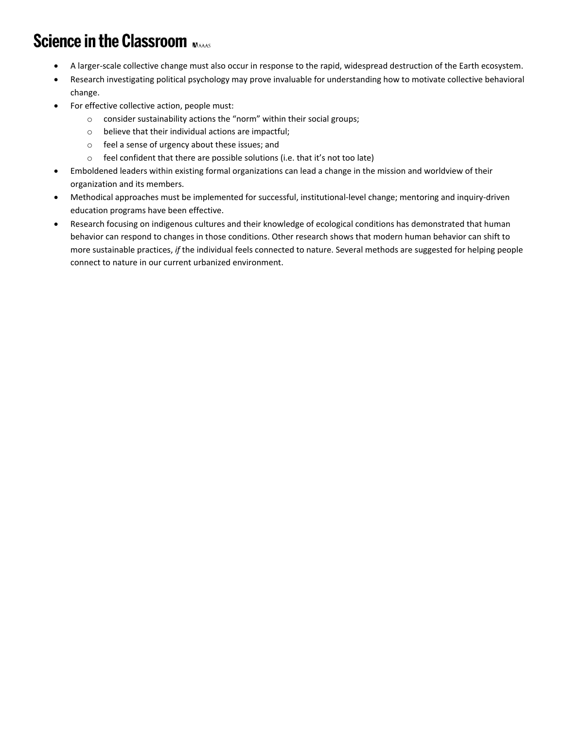## **Science in the Classroom MAAAS**

- A larger-scale collective change must also occur in response to the rapid, widespread destruction of the Earth ecosystem.
- Research investigating political psychology may prove invaluable for understanding how to motivate collective behavioral change.
- For effective collective action, people must:
	- o consider sustainability actions the "norm" within their social groups;
	- o believe that their individual actions are impactful;
	- o feel a sense of urgency about these issues; and
	- o feel confident that there are possible solutions (i.e. that it's not too late)
- Emboldened leaders within existing formal organizations can lead a change in the mission and worldview of their organization and its members.
- Methodical approaches must be implemented for successful, institutional-level change; mentoring and inquiry-driven education programs have been effective.
- Research focusing on indigenous cultures and their knowledge of ecological conditions has demonstrated that human behavior can respond to changes in those conditions. Other research shows that modern human behavior can shift to more sustainable practices, *if* the individual feels connected to nature. Several methods are suggested for helping people connect to nature in our current urbanized environment.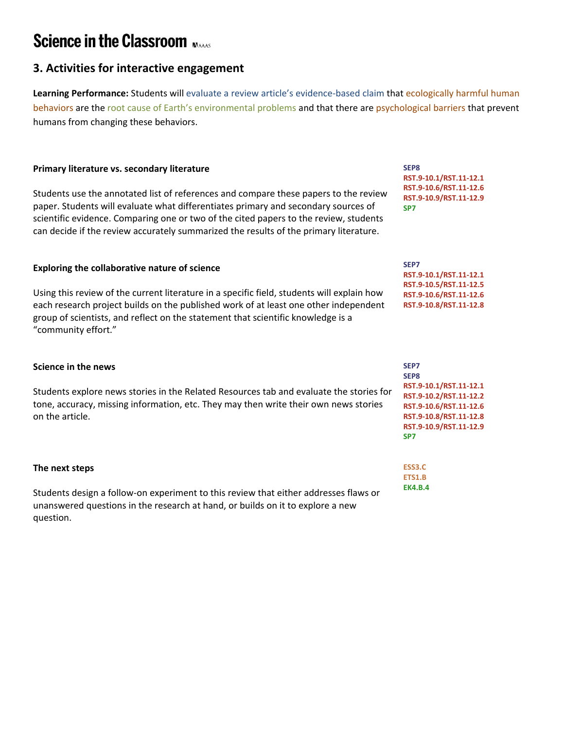## **Science in the Classroom MAAAS**

### <span id="page-5-0"></span>**3. Activities for interactive engagement**

**Learning Performance:** Students will evaluate a review article's evidence-based claim that ecologically harmful human behaviors are the root cause of Earth's environmental problems and that there are psychological barriers that prevent humans from changing these behaviors.

#### **Primary literature vs. secondary literature**

Students use the annotated list of references and compare these papers to the review paper. Students will evaluate what differentiates primary and secondary sources of scientific evidence. Comparing one or two of the cited papers to the review, students can decide if the review accurately summarized the results of the primary literature.

#### **Exploring the collaborative nature of science**

Using this review of the current literature in a specific field, students will explain how each research project builds on the published work of at least one other independent group of scientists, and reflect on the statement that scientific knowledge is a "community effort."

#### **Science in the news**

Students explore news stories in the Related Resources tab and evaluate the stories for tone, accuracy, missing information, etc. They may then write their own news stories on the article.

#### **The next steps**

Students design a follow-on experiment to this review that either addresses flaws or unanswered questions in the research at hand, or builds on it to explore a new question.

**SEP8 RST.9-10.1/RST.11-12.1 RST.9-10.6/RST.11-12.6 RST.9-10.9/RST.11-12.9 SP7**

**SEP7 RST.9-10.1/RST.11-12.1 RST.9-10.5/RST.11-12.5 RST.9-10.6/RST.11-12.6 RST.9-10.8/RST.11-12.8**

| SEP7                   |
|------------------------|
| SEP8                   |
| RST.9-10.1/RST.11-12.1 |
| RST.9-10.2/RST.11-12.2 |
| RST.9-10.6/RST.11-12.6 |
| RST.9-10.8/RST.11-12.8 |
| RST.9-10.9/RST.11-12.9 |
| SP7                    |
|                        |

**ESS3.C ETS1.B EK4.B.4**